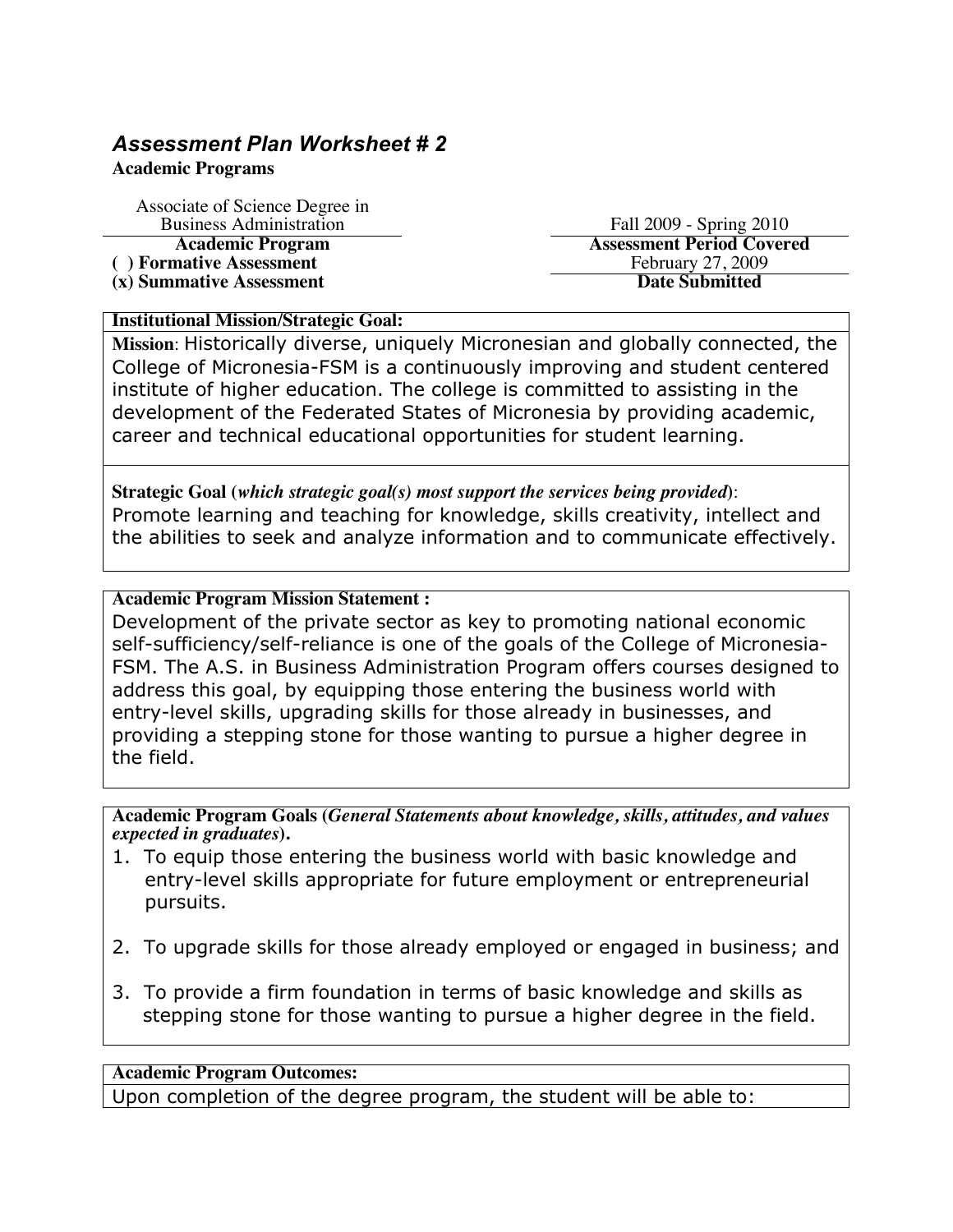# *Assessment Plan Worksheet # 2*

### **Academic Programs**

Associate of Science Degree in

**(x) Summative Assessment** 

Business Administration<br> **Academic Program** Fall 2009 - Spring 2010<br> **Assessment Period Cover Assessment Period Covered**<br>February 27, 2009 (a) Formative Assessment<br>
(x) Summative Assessment<br>
(x) Summative Assessment<br>
(x) Summative Assessment

## **Institutional Mission/Strategic Goal:**

**Mission**: Historically diverse, uniquely Micronesian and globally connected, the College of Micronesia-FSM is a continuously improving and student centered institute of higher education. The college is committed to assisting in the development of the Federated States of Micronesia by providing academic, career and technical educational opportunities for student learning.

**Strategic Goal (***which strategic goal(s) most support the services being provided***)**: Promote learning and teaching for knowledge, skills creativity, intellect and the abilities to seek and analyze information and to communicate effectively.

# **Academic Program Mission Statement :**

Development of the private sector as key to promoting national economic self-sufficiency/self-reliance is one of the goals of the College of Micronesia-FSM. The A.S. in Business Administration Program offers courses designed to address this goal, by equipping those entering the business world with entry-level skills, upgrading skills for those already in businesses, and providing a stepping stone for those wanting to pursue a higher degree in the field.

**Academic Program Goals (***General Statements about knowledge, skills, attitudes, and values expected in graduates***).** 

- 1. To equip those entering the business world with basic knowledge and entry-level skills appropriate for future employment or entrepreneurial pursuits.
- 2. To upgrade skills for those already employed or engaged in business; and
- 3. To provide a firm foundation in terms of basic knowledge and skills as stepping stone for those wanting to pursue a higher degree in the field.

## **Academic Program Outcomes:**

Upon completion of the degree program, the student will be able to: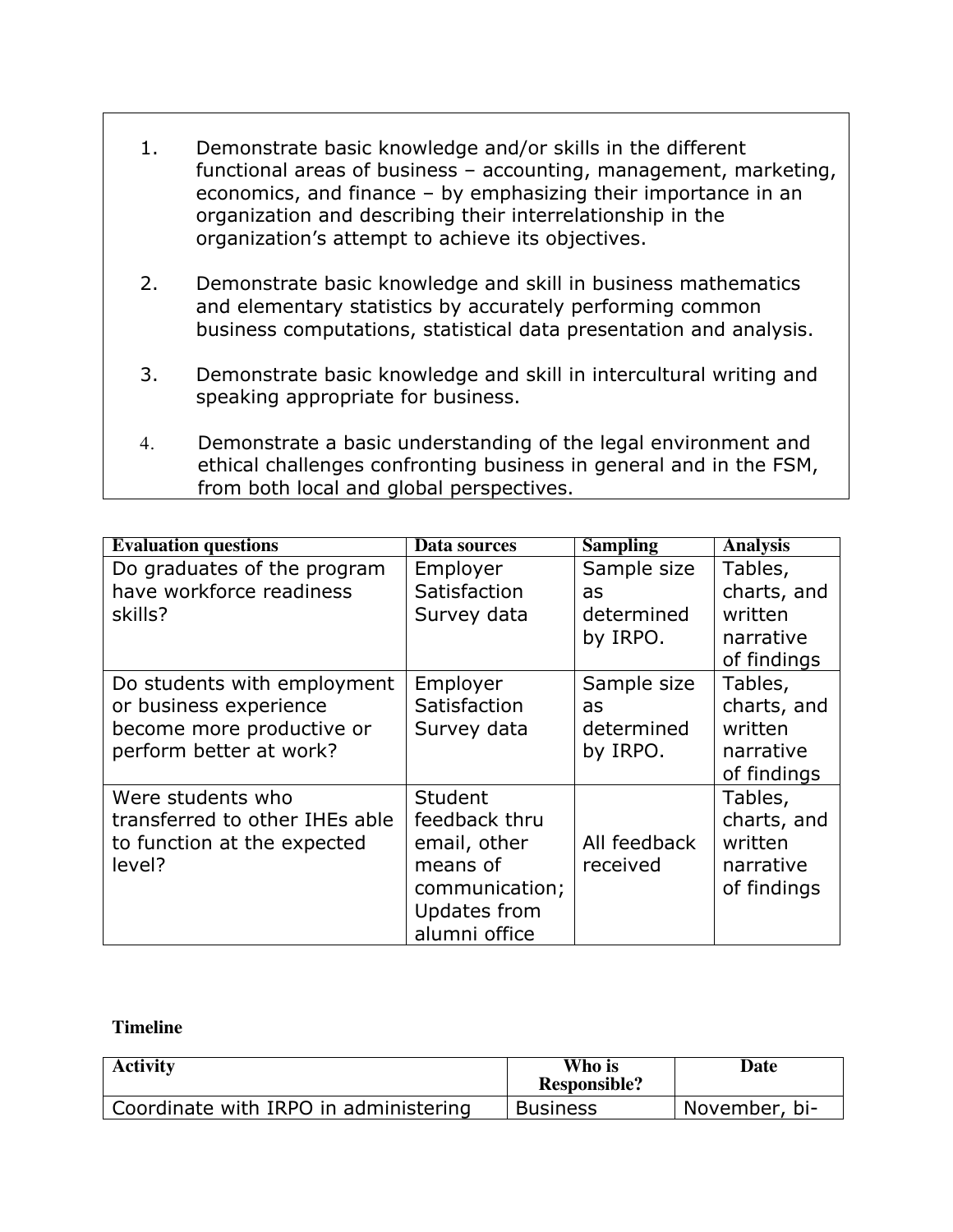- 1. Demonstrate basic knowledge and/or skills in the different functional areas of business – accounting, management, marketing, economics, and finance – by emphasizing their importance in an organization and describing their interrelationship in the organization's attempt to achieve its objectives.
- 2. Demonstrate basic knowledge and skill in business mathematics and elementary statistics by accurately performing common business computations, statistical data presentation and analysis.
- 3. Demonstrate basic knowledge and skill in intercultural writing and speaking appropriate for business.
- 4. Demonstrate a basic understanding of the legal environment and ethical challenges confronting business in general and in the FSM, from both local and global perspectives.

| <b>Evaluation questions</b>    | Data sources   | <b>Sampling</b> | <b>Analysis</b> |
|--------------------------------|----------------|-----------------|-----------------|
| Do graduates of the program    | Employer       | Sample size     | Tables,         |
| have workforce readiness       | Satisfaction   | as              | charts, and     |
| skills?                        | Survey data    | determined      | written         |
|                                |                | by IRPO.        | narrative       |
|                                |                |                 | of findings     |
| Do students with employment    | Employer       | Sample size     | Tables,         |
| or business experience         | Satisfaction   | as              | charts, and     |
| become more productive or      | Survey data    | determined      | written         |
| perform better at work?        |                | by IRPO.        | narrative       |
|                                |                |                 | of findings     |
| Were students who              | Student        |                 | Tables,         |
| transferred to other IHEs able | feedback thru  |                 | charts, and     |
| to function at the expected    | email, other   | All feedback    | written         |
| level?                         | means of       | received        | narrative       |
|                                | communication; |                 | of findings     |
|                                | Updates from   |                 |                 |
|                                | alumni office  |                 |                 |

### **Timeline**

| <b>Activity</b>                       | Who is<br><b>Responsible?</b> | Date          |
|---------------------------------------|-------------------------------|---------------|
| Coordinate with IRPO in administering | <b>Business</b>               | November, bi- |